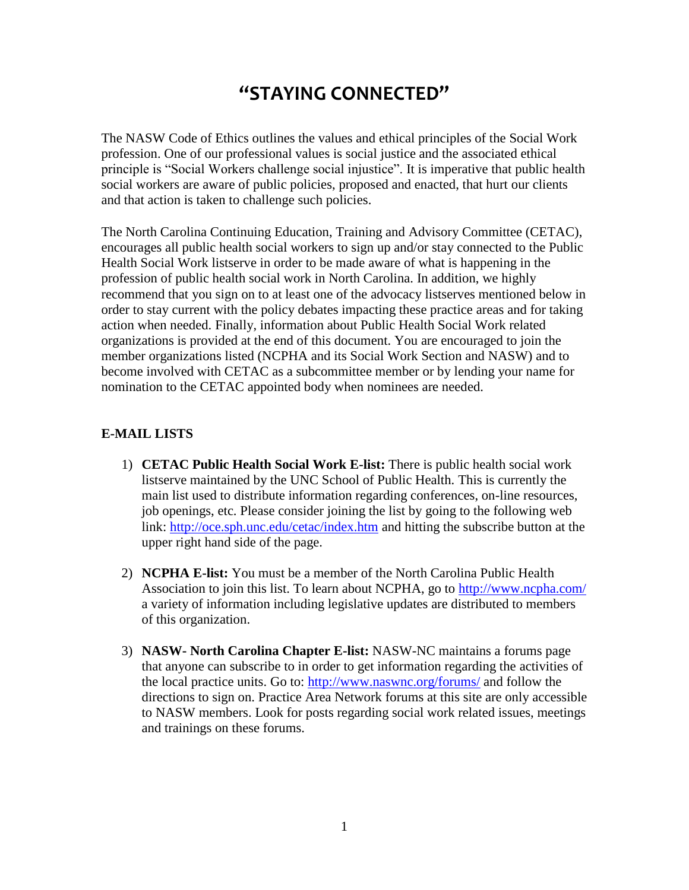## **"STAYING CONNECTED"**

The NASW Code of Ethics outlines the values and ethical principles of the Social Work profession. One of our professional values is social justice and the associated ethical principle is "Social Workers challenge social injustice". It is imperative that public health social workers are aware of public policies, proposed and enacted, that hurt our clients and that action is taken to challenge such policies.

The North Carolina Continuing Education, Training and Advisory Committee (CETAC), encourages all public health social workers to sign up and/or stay connected to the Public Health Social Work listserve in order to be made aware of what is happening in the profession of public health social work in North Carolina. In addition, we highly recommend that you sign on to at least one of the advocacy listserves mentioned below in order to stay current with the policy debates impacting these practice areas and for taking action when needed. Finally, information about Public Health Social Work related organizations is provided at the end of this document. You are encouraged to join the member organizations listed (NCPHA and its Social Work Section and NASW) and to become involved with CETAC as a subcommittee member or by lending your name for nomination to the CETAC appointed body when nominees are needed.

## **E-MAIL LISTS**

- 1) **CETAC Public Health Social Work E-list:** There is public health social work listserve maintained by the UNC School of Public Health. This is currently the main list used to distribute information regarding conferences, on-line resources, job openings, etc. Please consider joining the list by going to the following web link: <http://oce.sph.unc.edu/cetac/index.htm> and hitting the subscribe button at the upper right hand side of the page.
- 2) **NCPHA E-list:** You must be a member of the North Carolina Public Health Association to join this list. To learn about NCPHA, go to <http://www.ncpha.com/> a variety of information including legislative updates are distributed to members of this organization.
- 3) **NASW- North Carolina Chapter E-list:** NASW-NC maintains a forums page that anyone can subscribe to in order to get information regarding the activities of the local practice units. Go to: <http://www.naswnc.org/forums/> and follow the directions to sign on. Practice Area Network forums at this site are only accessible to NASW members. Look for posts regarding social work related issues, meetings and trainings on these forums.